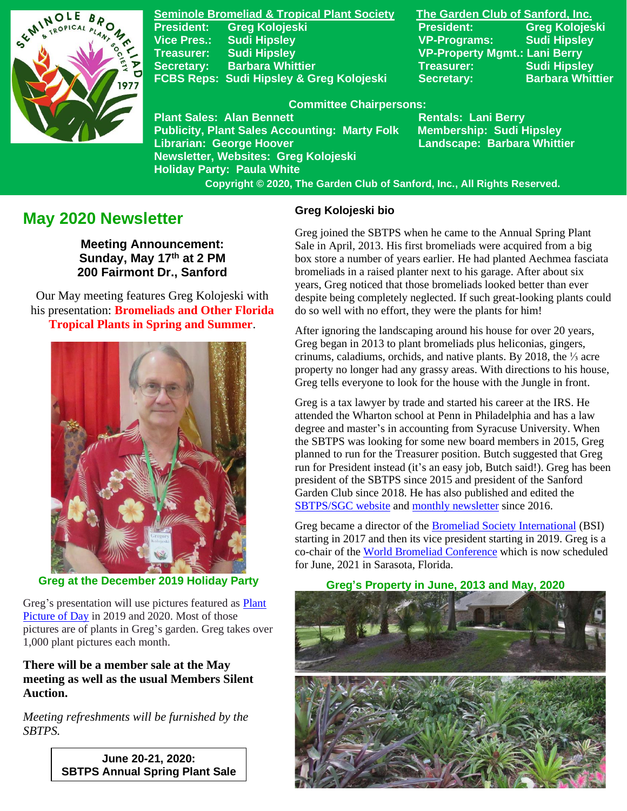

**Seminole Bromeliad & Tropical Plant Society The Garden Club of Sanford, Inc. Vice Pres.: Sudi Hipsley VP-Programs: Sudi Hipsley Treasurer: Sudi Hipsley VP-Property Mgmt.: Lani Berry Secretary:** Barbara Whittier **Network Treasurer:** Sudi Hipsley FCBS Reps: Sudi Hipsley & Greg Kolojeski Secretary: Barbara Whittier

**President: Greg Kolojeski President: Greg Kolojeski** 

#### **Committee Chairpersons:**

Plant Sales: Alan Bennett<br>Publicity, Plant Sales Accounting: Marty Folk Membership: Sudi Hipsley **Publicity, Plant Sales Accounting: Marty Folk Librarian: George Hoover Landscape: Barbara Whittier Newsletter, Websites: Greg Kolojeski Holiday Party: Paula White** 

 **Copyright © 2020, The Garden Club of Sanford, Inc., All Rights Reserved.**

# **May 2020 Newsletter**

**Meeting Announcement: Sunday, May 17 th at 2 PM 200 Fairmont Dr., Sanford**

 Our May meeting features Greg Kolojeski with his presentation: **Bromeliads and Other Florida Tropical Plants in Spring and Summer**.



**Greg at the December 2019 Holiday Party** 

Greg's presentation will use pictures featured as **Plant** [Picture of Day](https://www.facebook.com/SeminoleBromeliadSociety/) in 2019 and 2020. Most of those pictures are of plants in Greg's garden. Greg takes over 1,000 plant pictures each month.

## **There will be a member sale at the May meeting as well as the usual Members Silent Auction.**

*Meeting refreshments will be furnished by the SBTPS[.](https://62e40f42-b6a1-4320-83a9-5b114adcc305.filesusr.com/ugd/37f3e5_7408ec747bd84c06be36eba27bd09c14.pdf)*

> **June 20-21, 2020: SBTPS Annual Spring Plant Sale**

### **Greg Kolojeski bio**

Greg joined the SBTPS when he came to the Annual Spring Plant Sale in April, 2013. His first bromeliads were acquired from a big box store a number of years earlier. He had planted Aechmea fasciata bromeliads in a raised planter next to his garage. After about six years, Greg noticed that those bromeliads looked better than ever despite being completely neglected. If such great-looking plants could do so well with no effort, they were the plants for him!

After ignoring the landscaping around his house for over 20 years, Greg began in 2013 to plant bromeliads plus heliconias, gingers, crinums, caladiums, orchids, and native plants. By 2018, the ⅓ acre property no longer had any grassy areas. With directions to his house, Greg tells everyone to look for the house with the Jungle in front.

Greg is a tax lawyer by trade and started his career at the IRS. He attended the Wharton school at Penn in Philadelphia and has a law degree and master's in accounting from Syracuse University. When the SBTPS was looking for some new board members in 2015, Greg planned to run for the Treasurer position. Butch suggested that Greg run for President instead (it's an easy job, Butch said!). Greg has been president of the SBTPS since 2015 and president of the Sanford Garden Club since 2018. He has also published and edited the [SBTPS/SGC website](https://www.sanfordgardenclub.com/) an[d monthly newsletter](https://www.sanfordgardenclub.com/newsletters) since 2016.

Greg became a director of the [Bromeliad Society International](https://www.bsi.org/) (BSI) starting in 2017 and then its vice president starting in 2019. Greg is a co-chair of the [World Bromeliad Conference](https://www.bsi.org/new/conference-corner/) which is now scheduled for June, 2021 in Sarasota, Florida.

### **Greg's Property in June, 2013 and May, 2020**